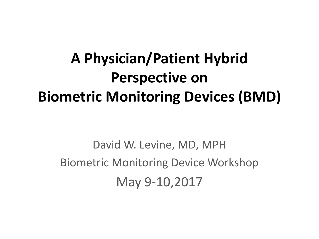#### **A Physician/Patient Hybrid Perspective on Biometric Monitoring Devices (BMD)**

David W. Levine, MD, MPH Biometric Monitoring Device Workshop May 9-10,2017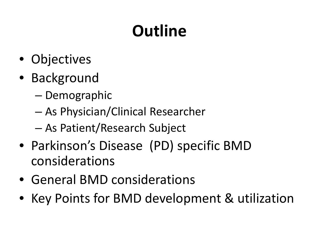## **Outline**

- Objectives
- Background
	- Demographic
	- As Physician/Clinical Researcher
	- As Patient/Research Subject
- Parkinson's Disease (PD) specific BMD considerations
- General BMD considerations
- Key Points for BMD development & utilization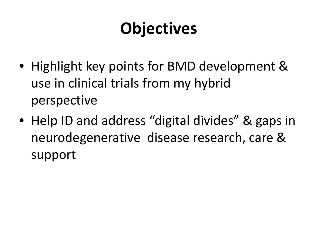#### **Objectives**

- Highlight key points for BMD development & use in clinical trials from my hybrid perspective
- Help ID and address "digital divides" & gaps in neurodegenerative disease research, care & support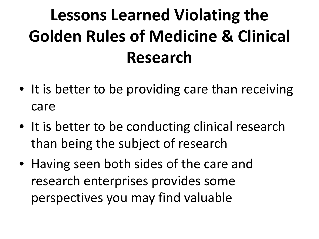## **Lessons Learned Violating the Golden Rules of Medicine & Clinical Research**

- It is better to be providing care than receiving care
- It is better to be conducting clinical research than being the subject of research
- Having seen both sides of the care and research enterprises provides some perspectives you may find valuable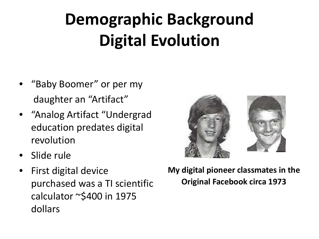# **Demographic Background Digital Evolution**

- "Baby Boomer" or per my daughter an "Artifact"
- "Analog Artifact "Undergrad education predates digital revolution
- Slide rule
- First digital device purchased was a TI scientific calculator ~\$400 in 1975 dollars



#### **My digital pioneer classmates in the Original Facebook circa 1973**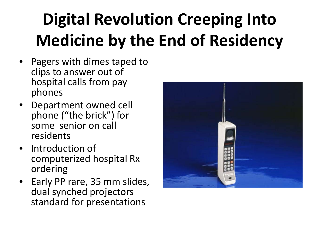# **Digital Revolution Creeping Into Medicine by the End of Residency**

- Pagers with dimes taped to clips to answer out of hospital calls from pay phones
- Department owned cell phone ("the brick") for some senior on call residents
- Introduction of computerized hospital Rx ordering
- Early PP rare, 35 mm slides, dual synched projectors standard for presentations

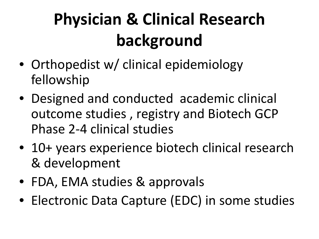# **Physician & Clinical Research background**

- Orthopedist w/ clinical epidemiology fellowship
- Designed and conducted academic clinical outcome studies , registry and Biotech GCP Phase 2-4 clinical studies
- 10+ years experience biotech clinical research & development
- FDA, EMA studies & approvals
- Electronic Data Capture (EDC) in some studies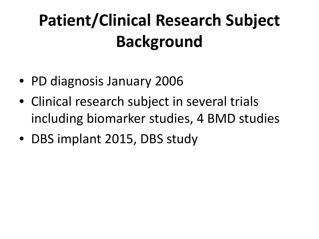## **Patient/Clinical Research Subject Background**

- PD diagnosis January 2006
- Clinical research subject in several trials including biomarker studies, 4 BMD studies
- DBS implant 2015, DBS study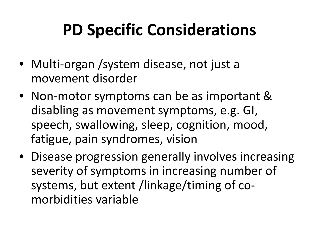#### **PD Specific Considerations**

- Multi-organ / system disease, not just a movement disorder
- Non-motor symptoms can be as important & disabling as movement symptoms, e.g. GI, speech, swallowing, sleep, cognition, mood, fatigue, pain syndromes, vision
- Disease progression generally involves increasing severity of symptoms in increasing number of systems, but extent /linkage/timing of comorbidities variable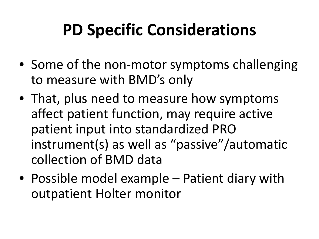#### **PD Specific Considerations**

- Some of the non-motor symptoms challenging to measure with BMD's only
- That, plus need to measure how symptoms affect patient function, may require active patient input into standardized PRO instrument(s) as well as "passive"/automatic collection of BMD data
- Possible model example Patient diary with outpatient Holter monitor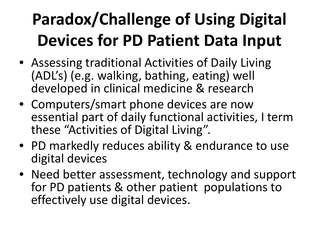# **Paradox/Challenge of Using Digital Devices for PD Patient Data Input**

- Assessing traditional Activities of Daily Living (ADL's) (e.g. walking, bathing, eating) well developed in clinical medicine & research
- Computers/smart phone devices are now essential part of daily functional activities, I term these "Activities of Digital Living".
- PD markedly reduces ability & endurance to use digital devices
- Need better assessment, technology and support for PD patients & other patient populations to effectively use digital devices.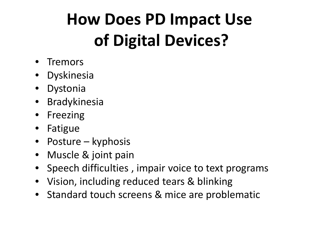## **How Does PD Impact Use of Digital Devices?**

- Tremors
- Dyskinesia
- Dystonia
- Bradykinesia
- Freezing
- Fatigue
- Posture kyphosis
- Muscle & joint pain
- Speech difficulties , impair voice to text programs
- Vision, including reduced tears & blinking
- Standard touch screens & mice are problematic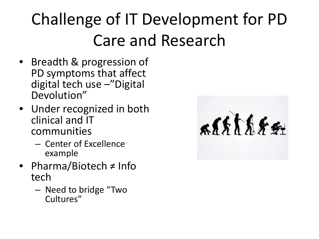# Challenge of IT Development for PD Care and Research

- Breadth & progression of PD symptoms that affect digital tech use –"Digital Devolution"
- Under recognized in both clinical and IT communities
	- Center of Excellence example
- Pharma/Biotech ≠ Info tech
	- Need to bridge "Two Cultures"

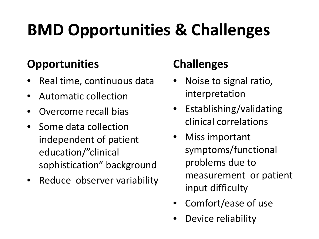### **BMD Opportunities & Challenges**

#### **Opportunities**

- Real time, continuous data
- Automatic collection
- Overcome recall bias
- Some data collection independent of patient education/"clinical sophistication" background
- Reduce observer variability

#### **Challenges**

- Noise to signal ratio, interpretation
- Establishing/validating clinical correlations
- Miss important symptoms/functional problems due to measurement or patient input difficulty
- Comfort/ease of use
- Device reliability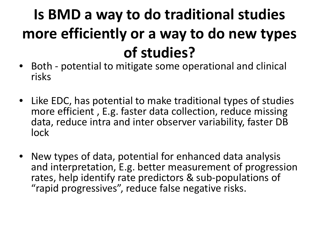#### **Is BMD a way to do traditional studies more efficiently or a way to do new types of studies?**

- Both potential to mitigate some operational and clinical risks
- Like EDC, has potential to make traditional types of studies more efficient , E.g. faster data collection, reduce missing data, reduce intra and inter observer variability, faster DB lock
- New types of data, potential for enhanced data analysis and interpretation, E.g. better measurement of progression rates, help identify rate predictors & sub-populations of "rapid progressives", reduce false negative risks.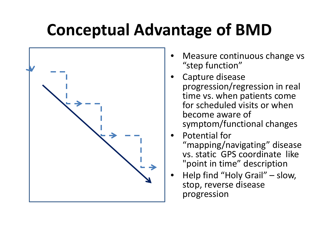#### **Conceptual Advantage of BMD**



- Measure continuous change vs "step function"
- Capture disease progression/regression in real time vs. when patients come for scheduled visits or when become aware of symptom/functional changes
- Potential for "mapping/navigating" disease vs. static GPS coordinate like "point in time" description
- Help find "Holy Grail" slow, stop, reverse disease progression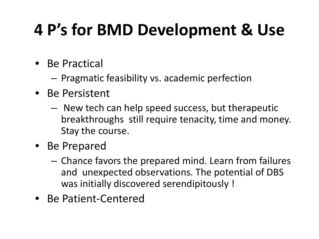### **4 P's for BMD Development & Use**

- Be Practical
	- Pragmatic feasibility vs. academic perfection
- Be Persistent
	- New tech can help speed success, but therapeutic breakthroughs still require tenacity, time and money. Stay the course.
- Be Prepared
	- Chance favors the prepared mind. Learn from failures and unexpected observations. The potential of DBS was initially discovered serendipitously !
- Be Patient-Centered